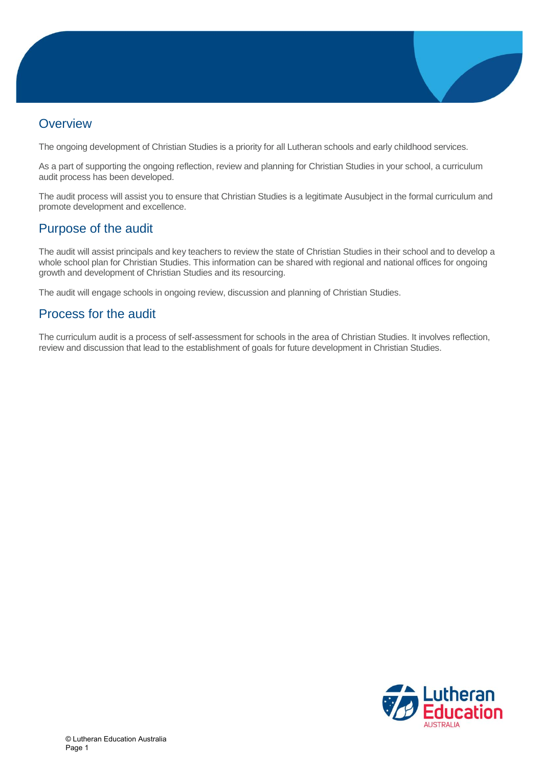

## **Overview**

The ongoing development of Christian Studies is a priority for all Lutheran schools and early childhood services.

As a part of supporting the ongoing reflection, review and planning for Christian Studies in your school, a curriculum audit process has been developed.

The audit process will assist you to ensure that Christian Studies is a legitimate Ausubject in the formal curriculum and promote development and excellence.

## Purpose of the audit

The audit will assist principals and key teachers to review the state of Christian Studies in their school and to develop a whole school plan for Christian Studies. This information can be shared with regional and national offices for ongoing growth and development of Christian Studies and its resourcing.

The audit will engage schools in ongoing review, discussion and planning of Christian Studies.

## Process for the audit

The curriculum audit is a process of self-assessment for schools in the area of Christian Studies. It involves reflection, review and discussion that lead to the establishment of goals for future development in Christian Studies.

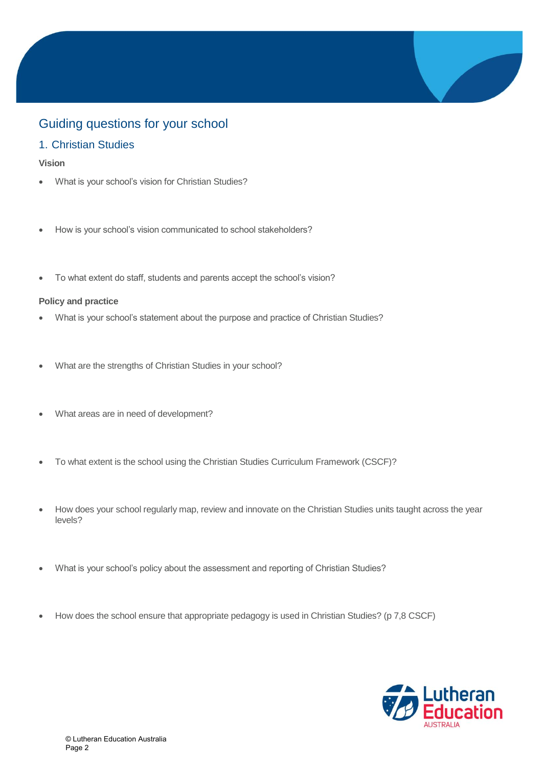# Guiding questions for your school

## 1. Christian Studies

### **Vision**

- What is your school's vision for Christian Studies?
- How is your school's vision communicated to school stakeholders?
- To what extent do staff, students and parents accept the school's vision?

### **Policy and practice**

- What is your school's statement about the purpose and practice of Christian Studies?
- What are the strengths of Christian Studies in your school?
- What areas are in need of development?
- To what extent is the school using the Christian Studies Curriculum Framework (CSCF)?
- How does your school regularly map, review and innovate on the Christian Studies units taught across the year levels?
- What is your school's policy about the assessment and reporting of Christian Studies?
- How does the school ensure that appropriate pedagogy is used in Christian Studies? (p 7,8 CSCF)

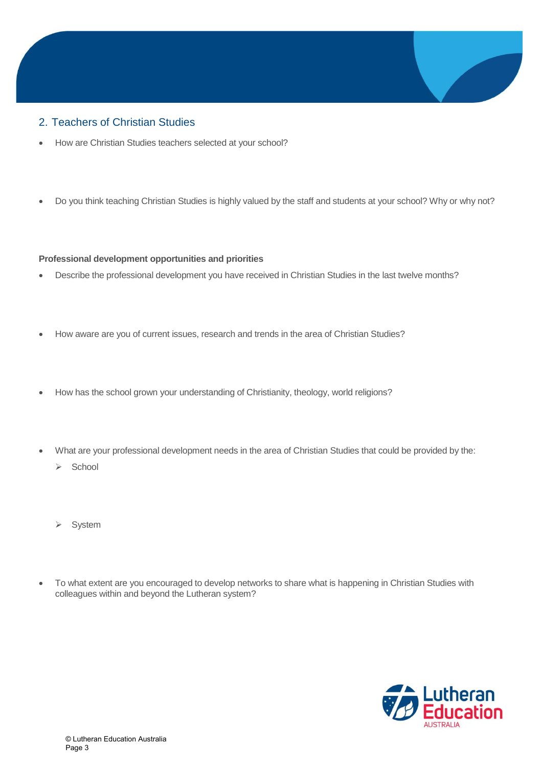### 2. Teachers of Christian Studies

- How are Christian Studies teachers selected at your school?
- Do you think teaching Christian Studies is highly valued by the staff and students at your school? Why or why not?

### **Professional development opportunities and priorities**

- Describe the professional development you have received in Christian Studies in the last twelve months?
- How aware are you of current issues, research and trends in the area of Christian Studies?
- How has the school grown your understanding of Christianity, theology, world religions?
- What are your professional development needs in the area of Christian Studies that could be provided by the:
	- $\triangleright$  School
	- > System
- To what extent are you encouraged to develop networks to share what is happening in Christian Studies with colleagues within and beyond the Lutheran system?

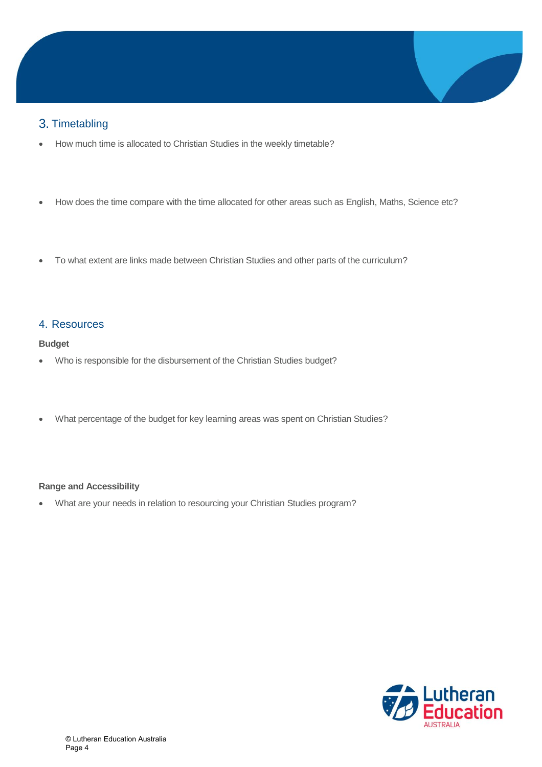## 3. Timetabling

- How much time is allocated to Christian Studies in the weekly timetable?
- How does the time compare with the time allocated for other areas such as English, Maths, Science etc?
- To what extent are links made between Christian Studies and other parts of the curriculum?

### 4. Resources

### **Budget**

- Who is responsible for the disbursement of the Christian Studies budget?
- What percentage of the budget for key learning areas was spent on Christian Studies?

### **Range and Accessibility**

What are your needs in relation to resourcing your Christian Studies program?

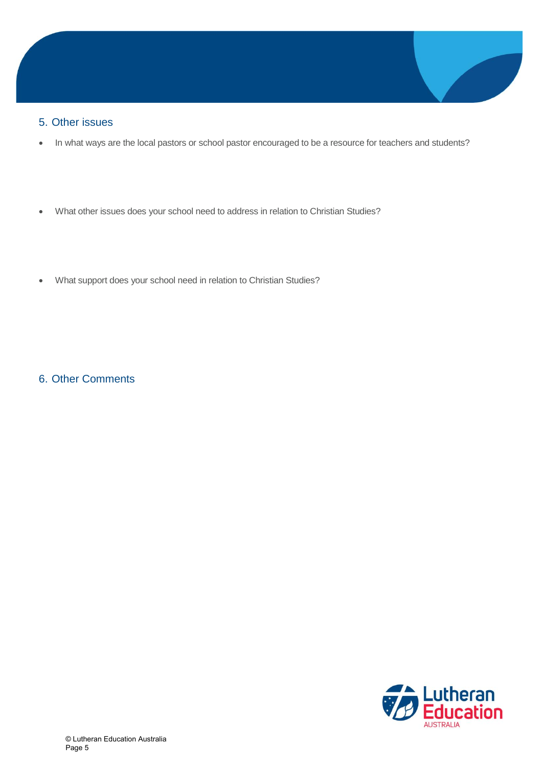### 5. Other issues

- In what ways are the local pastors or school pastor encouraged to be a resource for teachers and students?
- What other issues does your school need to address in relation to Christian Studies?
- What support does your school need in relation to Christian Studies?

6. Other Comments